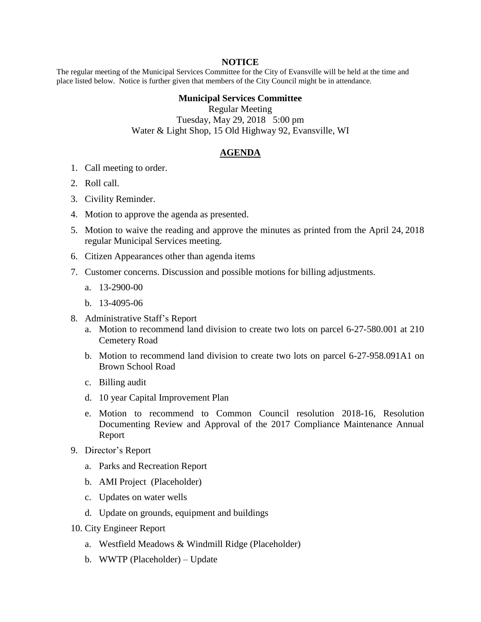## **NOTICE**

The regular meeting of the Municipal Services Committee for the City of Evansville will be held at the time and place listed below. Notice is further given that members of the City Council might be in attendance.

## **Municipal Services Committee**

Regular Meeting Tuesday, May 29, 2018 5:00 pm Water & Light Shop, 15 Old Highway 92, Evansville, WI

## **AGENDA**

- 1. Call meeting to order.
- 2. Roll call.
- 3. Civility Reminder.
- 4. Motion to approve the agenda as presented.
- 5. Motion to waive the reading and approve the minutes as printed from the April 24, 2018 regular Municipal Services meeting.
- 6. Citizen Appearances other than agenda items
- 7. Customer concerns. Discussion and possible motions for billing adjustments.
	- a. 13-2900-00
	- b. 13-4095-06
- 8. Administrative Staff's Report
	- a. Motion to recommend land division to create two lots on parcel 6-27-580.001 at 210 Cemetery Road
	- b. Motion to recommend land division to create two lots on parcel 6-27-958.091A1 on Brown School Road
	- c. Billing audit
	- d. 10 year Capital Improvement Plan
	- e. Motion to recommend to Common Council resolution 2018-16, Resolution Documenting Review and Approval of the 2017 Compliance Maintenance Annual Report
- 9. Director's Report
	- a. Parks and Recreation Report
	- b. AMI Project (Placeholder)
	- c. Updates on water wells
	- d. Update on grounds, equipment and buildings
- 10. City Engineer Report
	- a. Westfield Meadows & Windmill Ridge (Placeholder)
	- b. WWTP (Placeholder) Update